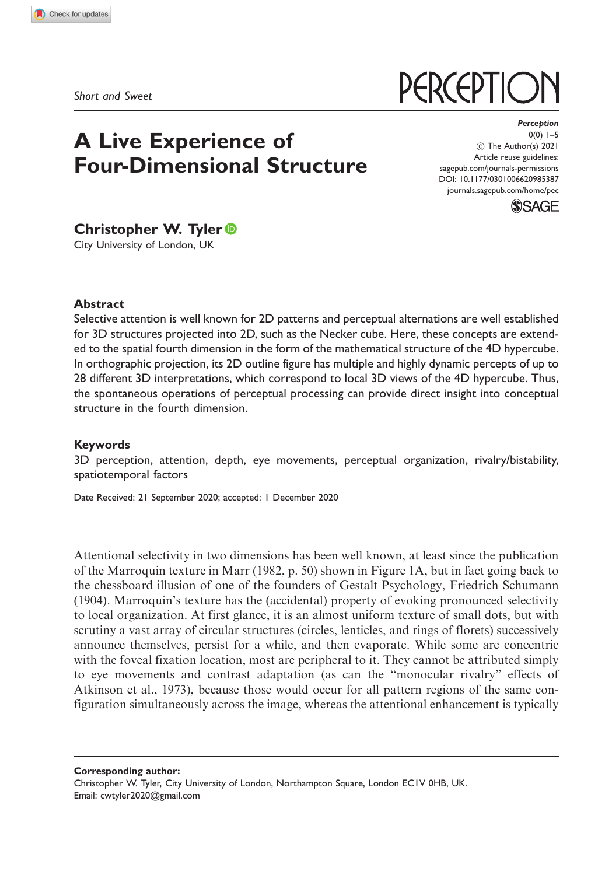Short and Sweet

# A Live Experience of Four-Dimensional Structure

**Perception**  $0(0) 1-5$ ! The Author(s) 2021 Article reuse guidelines: [sagepub.com/journals-permissions](http://uk.sagepub.com/en-gb/journals-permissions) [DOI: 10.1177/0301006620985387](http://dx.doi.org/10.1177/0301006620985387) <journals.sagepub.com/home/pec>

**PERCEPTIC** 



# Christopher W. Tyler

City University of London, UK

#### **Abstract**

Selective attention is well known for 2D patterns and perceptual alternations are well established for 3D structures projected into 2D, such as the Necker cube. Here, these concepts are extended to the spatial fourth dimension in the form of the mathematical structure of the 4D hypercube. In orthographic projection, its 2D outline figure has multiple and highly dynamic percepts of up to 28 different 3D interpretations, which correspond to local 3D views of the 4D hypercube. Thus, the spontaneous operations of perceptual processing can provide direct insight into conceptual structure in the fourth dimension.

#### Keywords

3D perception, attention, depth, eye movements, perceptual organization, rivalry/bistability, spatiotemporal factors

Date Received: 21 September 2020; accepted: 1 December 2020

Attentional selectivity in two dimensions has been well known, at least since the publication of the Marroquin texture in Marr (1982, p. 50) shown in Figure 1A, but in fact going back to the chessboard illusion of one of the founders of Gestalt Psychology, Friedrich Schumann (1904). Marroquin's texture has the (accidental) property of evoking pronounced selectivity to local organization. At first glance, it is an almost uniform texture of small dots, but with scrutiny a vast array of circular structures (circles, lenticles, and rings of florets) successively announce themselves, persist for a while, and then evaporate. While some are concentric with the foveal fixation location, most are peripheral to it. They cannot be attributed simply to eye movements and contrast adaptation (as can the "monocular rivalry" effects of Atkinson et al., 1973), because those would occur for all pattern regions of the same configuration simultaneously across the image, whereas the attentional enhancement is typically

Corresponding author: Christopher W. Tyler, City University of London, Northampton Square, London EC1V 0HB, UK. Email: [cwtyler2020@gmail.com](mailto:cwtyler2020@gmail.com)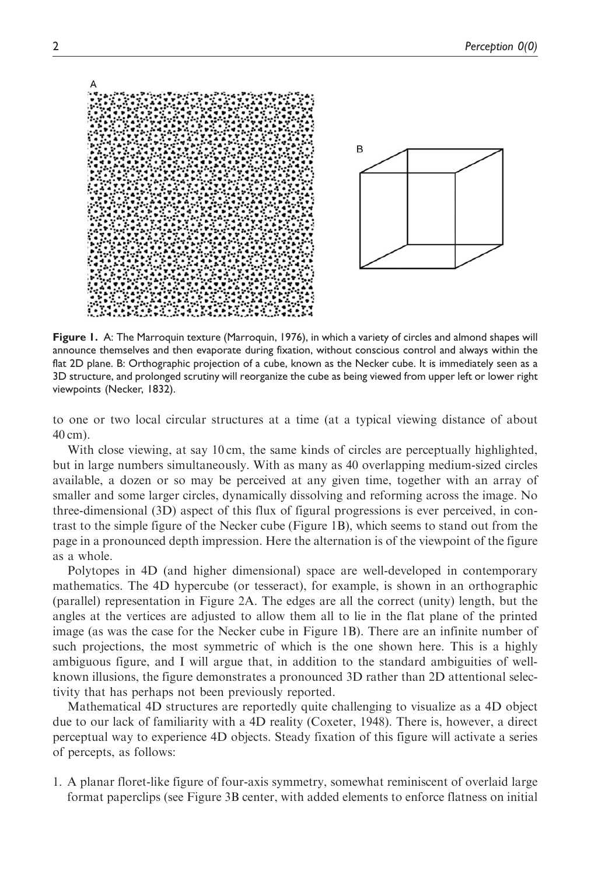

Figure 1. A: The Marroquin texture (Marroquin, 1976), in which a variety of circles and almond shapes will announce themselves and then evaporate during fixation, without conscious control and always within the flat 2D plane. B: Orthographic projection of a cube, known as the Necker cube. It is immediately seen as a 3D structure, and prolonged scrutiny will reorganize the cube as being viewed from upper left or lower right viewpoints (Necker, 1832).

to one or two local circular structures at a time (at a typical viewing distance of about 40 cm).

With close viewing, at say 10 cm, the same kinds of circles are perceptually highlighted, but in large numbers simultaneously. With as many as 40 overlapping medium-sized circles available, a dozen or so may be perceived at any given time, together with an array of smaller and some larger circles, dynamically dissolving and reforming across the image. No three-dimensional (3D) aspect of this flux of figural progressions is ever perceived, in contrast to the simple figure of the Necker cube (Figure 1B), which seems to stand out from the page in a pronounced depth impression. Here the alternation is of the viewpoint of the figure as a whole.

Polytopes in 4D (and higher dimensional) space are well-developed in contemporary mathematics. The 4D hypercube (or tesseract), for example, is shown in an orthographic (parallel) representation in Figure 2A. The edges are all the correct (unity) length, but the angles at the vertices are adjusted to allow them all to lie in the flat plane of the printed image (as was the case for the Necker cube in Figure 1B). There are an infinite number of such projections, the most symmetric of which is the one shown here. This is a highly ambiguous figure, and I will argue that, in addition to the standard ambiguities of wellknown illusions, the figure demonstrates a pronounced 3D rather than 2D attentional selectivity that has perhaps not been previously reported.

Mathematical 4D structures are reportedly quite challenging to visualize as a 4D object due to our lack of familiarity with a 4D reality (Coxeter, 1948). There is, however, a direct perceptual way to experience 4D objects. Steady fixation of this figure will activate a series of percepts, as follows:

1. A planar floret-like figure of four-axis symmetry, somewhat reminiscent of overlaid large format paperclips (see Figure 3B center, with added elements to enforce flatness on initial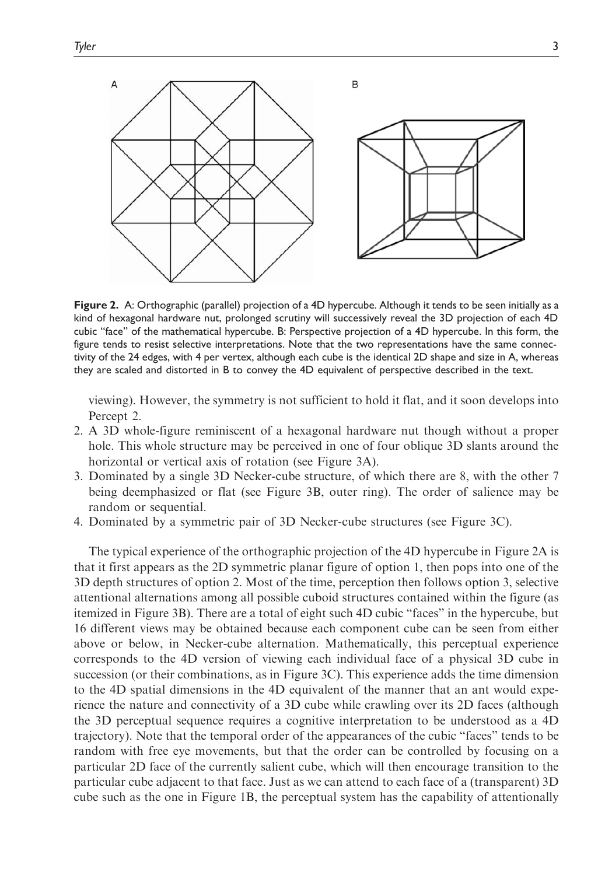

Figure 2. A: Orthographic (parallel) projection of a 4D hypercube. Although it tends to be seen initially as a kind of hexagonal hardware nut, prolonged scrutiny will successively reveal the 3D projection of each 4D cubic "face" of the mathematical hypercube. B: Perspective projection of a 4D hypercube. In this form, the figure tends to resist selective interpretations. Note that the two representations have the same connectivity of the 24 edges, with 4 per vertex, although each cube is the identical 2D shape and size in A, whereas they are scaled and distorted in B to convey the 4D equivalent of perspective described in the text.

viewing). However, the symmetry is not sufficient to hold it flat, and it soon develops into Percept 2.

- 2. A 3D whole-figure reminiscent of a hexagonal hardware nut though without a proper hole. This whole structure may be perceived in one of four oblique 3D slants around the horizontal or vertical axis of rotation (see Figure 3A).
- 3. Dominated by a single 3D Necker-cube structure, of which there are 8, with the other 7 being deemphasized or flat (see Figure 3B, outer ring). The order of salience may be random or sequential.
- 4. Dominated by a symmetric pair of 3D Necker-cube structures (see Figure 3C).

The typical experience of the orthographic projection of the 4D hypercube in Figure 2A is that it first appears as the 2D symmetric planar figure of option 1, then pops into one of the 3D depth structures of option 2. Most of the time, perception then follows option 3, selective attentional alternations among all possible cuboid structures contained within the figure (as itemized in Figure 3B). There are a total of eight such 4D cubic "faces" in the hypercube, but 16 different views may be obtained because each component cube can be seen from either above or below, in Necker-cube alternation. Mathematically, this perceptual experience corresponds to the 4D version of viewing each individual face of a physical 3D cube in succession (or their combinations, as in Figure 3C). This experience adds the time dimension to the 4D spatial dimensions in the 4D equivalent of the manner that an ant would experience the nature and connectivity of a 3D cube while crawling over its 2D faces (although the 3D perceptual sequence requires a cognitive interpretation to be understood as a 4D trajectory). Note that the temporal order of the appearances of the cubic "faces" tends to be random with free eye movements, but that the order can be controlled by focusing on a particular 2D face of the currently salient cube, which will then encourage transition to the particular cube adjacent to that face. Just as we can attend to each face of a (transparent) 3D cube such as the one in Figure 1B, the perceptual system has the capability of attentionally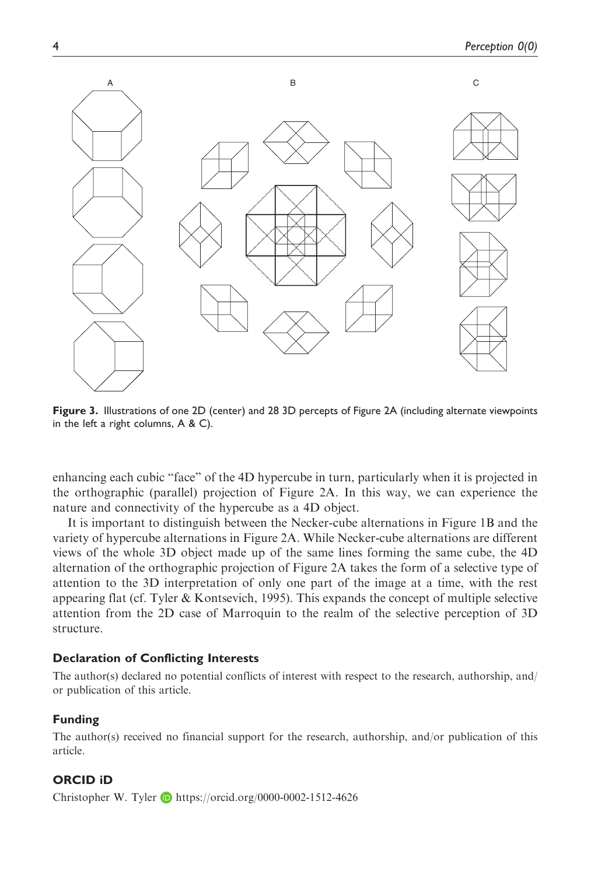

Figure 3. Illustrations of one 2D (center) and 28 3D percepts of Figure 2A (including alternate viewpoints in the left a right columns, A & C).

enhancing each cubic "face" of the 4D hypercube in turn, particularly when it is projected in the orthographic (parallel) projection of Figure 2A. In this way, we can experience the nature and connectivity of the hypercube as a 4D object.

It is important to distinguish between the Necker-cube alternations in Figure 1B and the variety of hypercube alternations in Figure 2A. While Necker-cube alternations are different views of the whole 3D object made up of the same lines forming the same cube, the 4D alternation of the orthographic projection of Figure 2A takes the form of a selective type of attention to the 3D interpretation of only one part of the image at a time, with the rest appearing flat (cf. Tyler  $&$  Kontsevich, 1995). This expands the concept of multiple selective attention from the 2D case of Marroquin to the realm of the selective perception of 3D structure.

#### Declaration of Conflicting Interests

The author(s) declared no potential conflicts of interest with respect to the research, authorship, and/ or publication of this article.

## Funding

The author(s) received no financial support for the research, authorship, and/or publication of this article.

## ORCID iD

Christopher W. Tyler  $\Box$  <https://orcid.org/0000-0002-1512-4626>